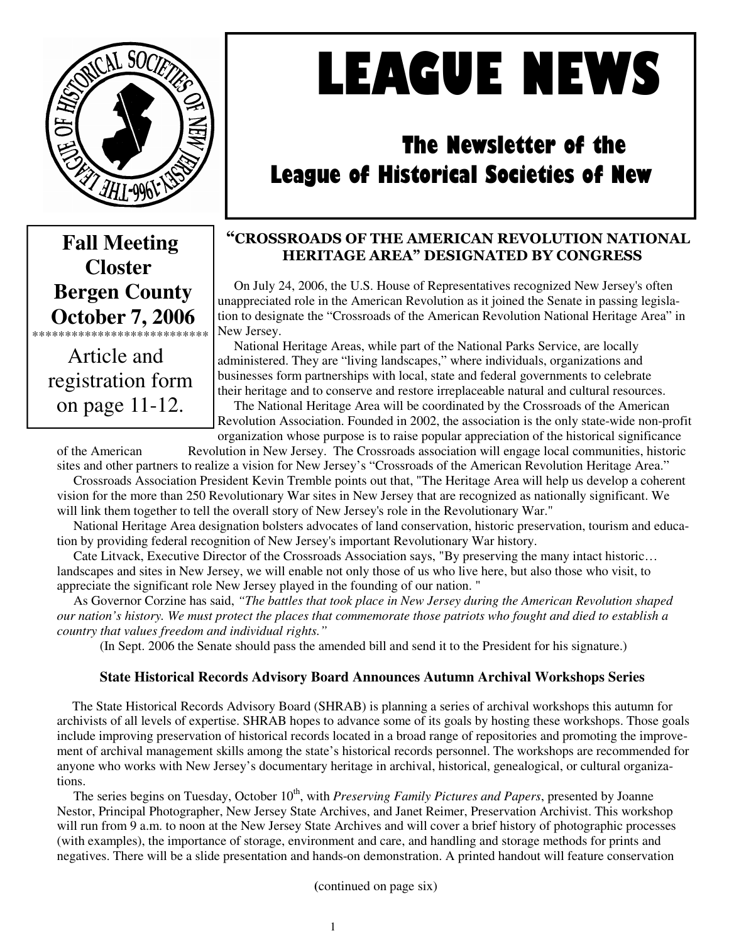

# **Fall Meeting Closter Bergen County October 7, 2006**  \*\*\*\*\*\*\*\*\*\*\*\*\*\*\*\*\*\*\*\*\*\*\*\*\*\*\*

 Article and registration form on page 11-12.

# LEAGUE NEWS

# The Newsletter of the League of Historical Societies of New

#### "CROSSROADS OF THE AMERICAN REVOLUTION NATIONAL HERITAGE AREA" DESIGNATED BY CONGRESS

 On July 24, 2006, the U.S. House of Representatives recognized New Jersey's often unappreciated role in the American Revolution as it joined the Senate in passing legislation to designate the "Crossroads of the American Revolution National Heritage Area" in New Jersey.

 National Heritage Areas, while part of the National Parks Service, are locally administered. They are "living landscapes," where individuals, organizations and businesses form partnerships with local, state and federal governments to celebrate their heritage and to conserve and restore irreplaceable natural and cultural resources.

 The National Heritage Area will be coordinated by the Crossroads of the American Revolution Association. Founded in 2002, the association is the only state-wide non-profit organization whose purpose is to raise popular appreciation of the historical significance

of the American Revolution in New Jersey. The Crossroads association will engage local communities, historic

sites and other partners to realize a vision for New Jersey's "Crossroads of the American Revolution Heritage Area." Crossroads Association President Kevin Tremble points out that, "The Heritage Area will help us develop a coherent vision for the more than 250 Revolutionary War sites in New Jersey that are recognized as nationally significant. We will link them together to tell the overall story of New Jersey's role in the Revolutionary War."

 National Heritage Area designation bolsters advocates of land conservation, historic preservation, tourism and education by providing federal recognition of New Jersey's important Revolutionary War history.

 Cate Litvack, Executive Director of the Crossroads Association says, "By preserving the many intact historic… landscapes and sites in New Jersey, we will enable not only those of us who live here, but also those who visit, to appreciate the significant role New Jersey played in the founding of our nation. "

 As Governor Corzine has said, *"The battles that took place in New Jersey during the American Revolution shaped our nation's history. We must protect the places that commemorate those patriots who fought and died to establish a country that values freedom and individual rights."*

(In Sept. 2006 the Senate should pass the amended bill and send it to the President for his signature.)

#### **State Historical Records Advisory Board Announces Autumn Archival Workshops Series**

The State Historical Records Advisory Board (SHRAB) is planning a series of archival workshops this autumn for archivists of all levels of expertise. SHRAB hopes to advance some of its goals by hosting these workshops. Those goals include improving preservation of historical records located in a broad range of repositories and promoting the improvement of archival management skills among the state's historical records personnel. The workshops are recommended for anyone who works with New Jersey's documentary heritage in archival, historical, genealogical, or cultural organizations.

The series begins on Tuesday, October 10<sup>th</sup>, with *Preserving Family Pictures and Papers*, presented by Joanne Nestor, Principal Photographer, New Jersey State Archives, and Janet Reimer, Preservation Archivist. This workshop will run from 9 a.m. to noon at the New Jersey State Archives and will cover a brief history of photographic processes (with examples), the importance of storage, environment and care, and handling and storage methods for prints and negatives. There will be a slide presentation and hands-on demonstration. A printed handout will feature conservation

 **(**continued on page six)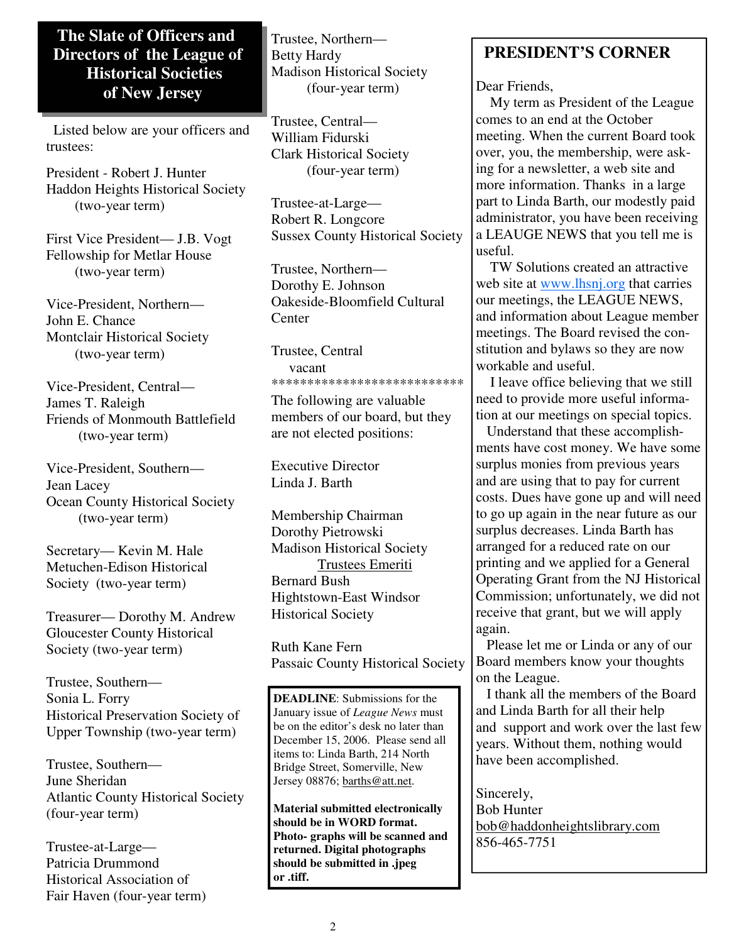#### **The Slate of Officers and Directors of the League of Historical Societies of New Jersey**

 Listed below are your officers and trustees:

President - Robert J. Hunter Haddon Heights Historical Society (two-year term)

First Vice President— J.B. Vogt Fellowship for Metlar House (two-year term)

Vice-President, Northern— John E. Chance Montclair Historical Society (two-year term)

Vice-President, Central— James T. Raleigh Friends of Monmouth Battlefield (two-year term)

Vice-President, Southern— Jean Lacey Ocean County Historical Society (two-year term)

Secretary— Kevin M. Hale Metuchen-Edison Historical Society (two-year term)

Treasurer— Dorothy M. Andrew Gloucester County Historical Society (two-year term)

Trustee, Southern— Sonia L. Forry Historical Preservation Society of Upper Township (two-year term)

Trustee, Southern— June Sheridan Atlantic County Historical Society (four-year term)

Trustee-at-Large— Patricia Drummond Historical Association of Fair Haven (four-year term) Trustee, Northern— Betty Hardy Madison Historical Society (four-year term)

Trustee, Central— William Fidurski Clark Historical Society (four-year term)

Trustee-at-Large— Robert R. Longcore Sussex County Historical Society

Trustee, Northern— Dorothy E. Johnson Oakeside-Bloomfield Cultural **C**enter

Trustee, Central vacant \*\*\*\*\*\*\*\*\*\*\*\*\*\*\*\*\*\*\*\*\*\*\*\*\*\*\*

The following are valuable members of our board, but they are not elected positions:

Executive Director Linda J. Barth

Membership Chairman Dorothy Pietrowski Madison Historical Society Trustees Emeriti Bernard Bush Hightstown-East Windsor Historical Society

Ruth Kane Fern Passaic County Historical Society

**DEADLINE**: Submissions for the January issue of *League News* must be on the editor's desk no later than December 15, 2006. Please send all items to: Linda Barth, 214 North Bridge Street, Somerville, New Jersey 08876; barths@att.net.

**Material submitted electronically should be in WORD format. Photo- graphs will be scanned and returned. Digital photographs should be submitted in .jpeg or .tiff.** 

# **PRESIDENT'S CORNER**

Dear Friends,

 My term as President of the League comes to an end at the October meeting. When the current Board took over, you, the membership, were asking for a newsletter, a web site and more information. Thanks in a large part to Linda Barth, our modestly paid administrator, you have been receiving a LEAUGE NEWS that you tell me is useful.

 TW Solutions created an attractive web site at www.lhsnj.org that carries our meetings, the LEAGUE NEWS, and information about League member meetings. The Board revised the constitution and bylaws so they are now workable and useful.

 I leave office believing that we still need to provide more useful information at our meetings on special topics.

 Understand that these accomplishments have cost money. We have some surplus monies from previous years and are using that to pay for current costs. Dues have gone up and will need to go up again in the near future as our surplus decreases. Linda Barth has arranged for a reduced rate on our printing and we applied for a General Operating Grant from the NJ Historical Commission; unfortunately, we did not receive that grant, but we will apply again.

 Please let me or Linda or any of our Board members know your thoughts on the League.

 I thank all the members of the Board and Linda Barth for all their help and support and work over the last few years. Without them, nothing would have been accomplished.

Sincerely, Bob Hunter bob@haddonheightslibrary.com 856-465-7751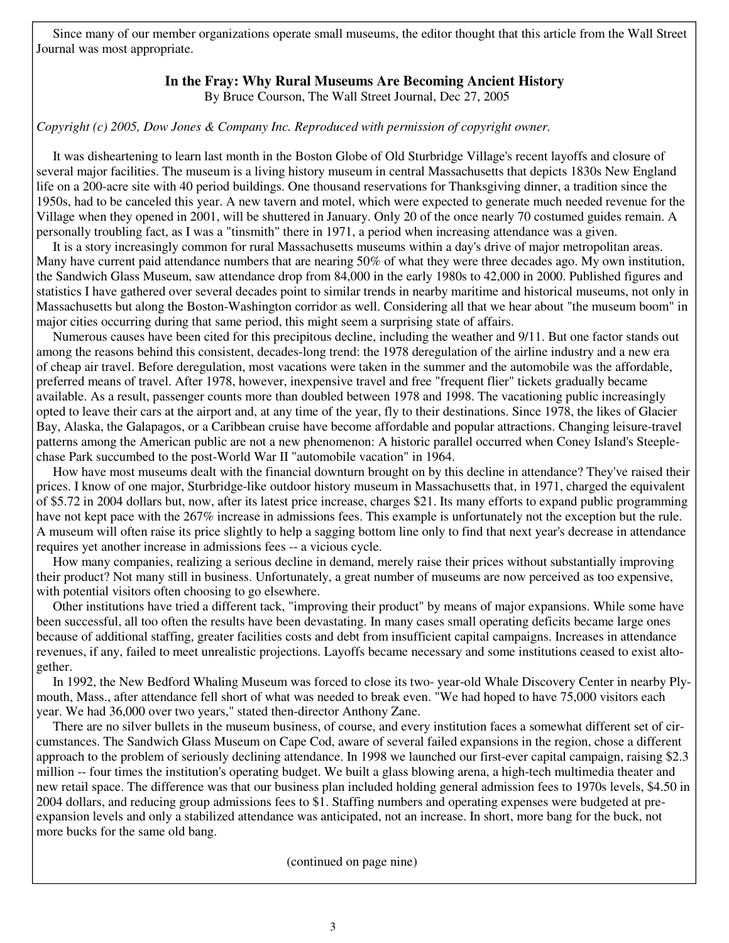Since many of our member organizations operate small museums, the editor thought that this article from the Wall Street Journal was most appropriate.

#### **In the Fray: Why Rural Museums Are Becoming Ancient History**

By Bruce Courson, The Wall Street Journal, Dec 27, 2005

*Copyright (c) 2005, Dow Jones & Company Inc. Reproduced with permission of copyright owner.* 

 It was disheartening to learn last month in the Boston Globe of Old Sturbridge Village's recent layoffs and closure of several major facilities. The museum is a living history museum in central Massachusetts that depicts 1830s New England life on a 200-acre site with 40 period buildings. One thousand reservations for Thanksgiving dinner, a tradition since the 1950s, had to be canceled this year. A new tavern and motel, which were expected to generate much needed revenue for the Village when they opened in 2001, will be shuttered in January. Only 20 of the once nearly 70 costumed guides remain. A personally troubling fact, as I was a "tinsmith" there in 1971, a period when increasing attendance was a given.

 It is a story increasingly common for rural Massachusetts museums within a day's drive of major metropolitan areas. Many have current paid attendance numbers that are nearing 50% of what they were three decades ago. My own institution, the Sandwich Glass Museum, saw attendance drop from 84,000 in the early 1980s to 42,000 in 2000. Published figures and statistics I have gathered over several decades point to similar trends in nearby maritime and historical museums, not only in Massachusetts but along the Boston-Washington corridor as well. Considering all that we hear about "the museum boom" in major cities occurring during that same period, this might seem a surprising state of affairs.

 Numerous causes have been cited for this precipitous decline, including the weather and 9/11. But one factor stands out among the reasons behind this consistent, decades-long trend: the 1978 deregulation of the airline industry and a new era of cheap air travel. Before deregulation, most vacations were taken in the summer and the automobile was the affordable, preferred means of travel. After 1978, however, inexpensive travel and free "frequent flier" tickets gradually became available. As a result, passenger counts more than doubled between 1978 and 1998. The vacationing public increasingly opted to leave their cars at the airport and, at any time of the year, fly to their destinations. Since 1978, the likes of Glacier Bay, Alaska, the Galapagos, or a Caribbean cruise have become affordable and popular attractions. Changing leisure-travel patterns among the American public are not a new phenomenon: A historic parallel occurred when Coney Island's Steeplechase Park succumbed to the post-World War II "automobile vacation" in 1964.

 How have most museums dealt with the financial downturn brought on by this decline in attendance? They've raised their prices. I know of one major, Sturbridge-like outdoor history museum in Massachusetts that, in 1971, charged the equivalent of \$5.72 in 2004 dollars but, now, after its latest price increase, charges \$21. Its many efforts to expand public programming have not kept pace with the 267% increase in admissions fees. This example is unfortunately not the exception but the rule. A museum will often raise its price slightly to help a sagging bottom line only to find that next year's decrease in attendance requires yet another increase in admissions fees -- a vicious cycle.

 How many companies, realizing a serious decline in demand, merely raise their prices without substantially improving their product? Not many still in business. Unfortunately, a great number of museums are now perceived as too expensive, with potential visitors often choosing to go elsewhere.

 Other institutions have tried a different tack, "improving their product" by means of major expansions. While some have been successful, all too often the results have been devastating. In many cases small operating deficits became large ones because of additional staffing, greater facilities costs and debt from insufficient capital campaigns. Increases in attendance revenues, if any, failed to meet unrealistic projections. Layoffs became necessary and some institutions ceased to exist altogether.

 In 1992, the New Bedford Whaling Museum was forced to close its two- year-old Whale Discovery Center in nearby Plymouth, Mass., after attendance fell short of what was needed to break even. "We had hoped to have 75,000 visitors each year. We had 36,000 over two years," stated then-director Anthony Zane.

 There are no silver bullets in the museum business, of course, and every institution faces a somewhat different set of circumstances. The Sandwich Glass Museum on Cape Cod, aware of several failed expansions in the region, chose a different approach to the problem of seriously declining attendance. In 1998 we launched our first-ever capital campaign, raising \$2.3 million -- four times the institution's operating budget. We built a glass blowing arena, a high-tech multimedia theater and new retail space. The difference was that our business plan included holding general admission fees to 1970s levels, \$4.50 in 2004 dollars, and reducing group admissions fees to \$1. Staffing numbers and operating expenses were budgeted at preexpansion levels and only a stabilized attendance was anticipated, not an increase. In short, more bang for the buck, not more bucks for the same old bang.

(continued on page nine)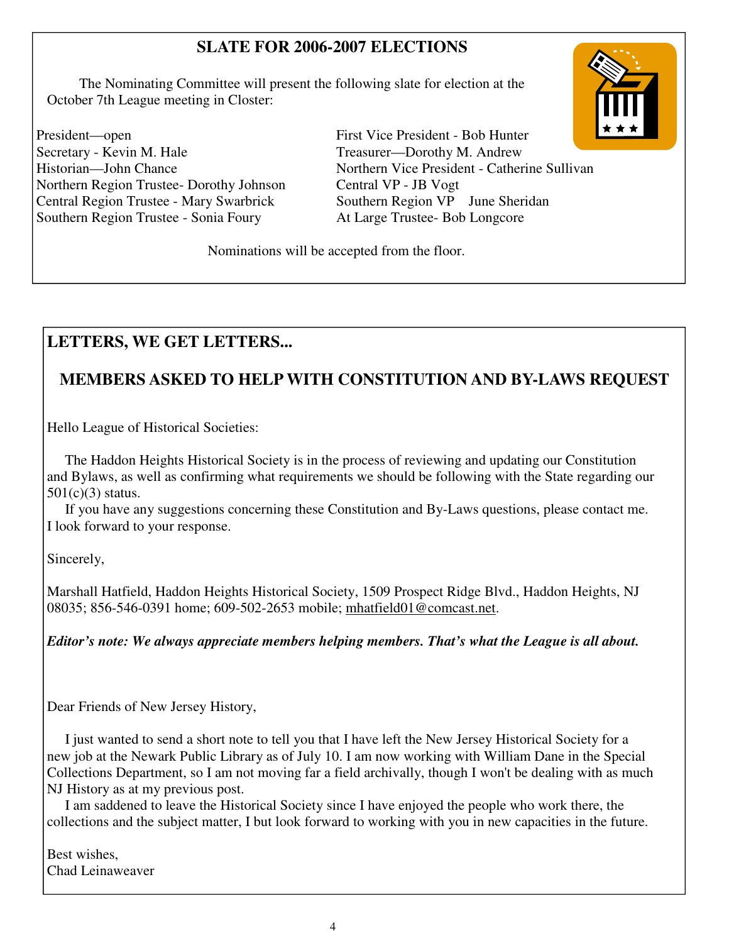# **SLATE FOR 2006-2007 ELECTIONS**

 The Nominating Committee will present the following slate for election at the October 7th League meeting in Closter:

President—open First Vice President - Bob Hunter Secretary - Kevin M. Hale Treasurer—Dorothy M. Andrew<br>Historian—John Chance Northern Vice President - Cather Northern Region Trustee- Dorothy Johnson Central VP - JB Vogt Central Region Trustee - Mary Swarbrick Southern Region VP June Sheridan Southern Region Trustee - Sonia Foury At Large Trustee- Bob Longcore

Northern Vice President - Catherine Sullivan



Nominations will be accepted from the floor.

# **LETTERS, WE GET LETTERS...**

# **MEMBERS ASKED TO HELP WITH CONSTITUTION AND BY-LAWS REQUEST**

Hello League of Historical Societies:

 The Haddon Heights Historical Society is in the process of reviewing and updating our Constitution and Bylaws, as well as confirming what requirements we should be following with the State regarding our 501(c)(3) status.

 If you have any suggestions concerning these Constitution and By-Laws questions, please contact me. I look forward to your response.

Sincerely,

Marshall Hatfield, Haddon Heights Historical Society, 1509 Prospect Ridge Blvd., Haddon Heights, NJ 08035; 856-546-0391 home; 609-502-2653 mobile; mhatfield01@comcast.net.

*Editor's note: We always appreciate members helping members. That's what the League is all about.* 

Dear Friends of New Jersey History,

 I just wanted to send a short note to tell you that I have left the New Jersey Historical Society for a new job at the Newark Public Library as of July 10. I am now working with William Dane in the Special Collections Department, so I am not moving far a field archivally, though I won't be dealing with as much NJ History as at my previous post.

 I am saddened to leave the Historical Society since I have enjoyed the people who work there, the collections and the subject matter, I but look forward to working with you in new capacities in the future.

Best wishes, Chad Leinaweaver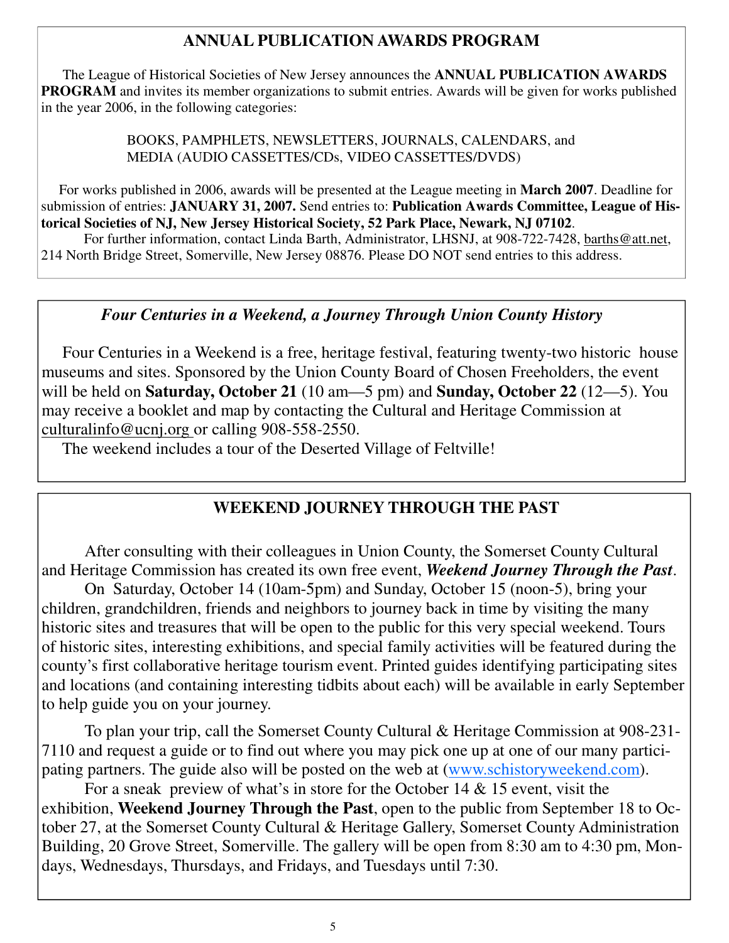# **ANNUAL PUBLICATION AWARDS PROGRAM**

 The League of Historical Societies of New Jersey announces the **ANNUAL PUBLICATION AWARDS PROGRAM** and invites its member organizations to submit entries. Awards will be given for works published in the year 2006, in the following categories:

> BOOKS, PAMPHLETS, NEWSLETTERS, JOURNALS, CALENDARS, and MEDIA (AUDIO CASSETTES/CDs, VIDEO CASSETTES/DVDS)

 For works published in 2006, awards will be presented at the League meeting in **March 2007**. Deadline for submission of entries: **JANUARY 31, 2007.** Send entries to: **Publication Awards Committee, League of Historical Societies of NJ, New Jersey Historical Society, 52 Park Place, Newark, NJ 07102**.

 For further information, contact Linda Barth, Administrator, LHSNJ, at 908-722-7428, barths@att.net, 214 North Bridge Street, Somerville, New Jersey 08876. Please DO NOT send entries to this address.

#### *Four Centuries in a Weekend, a Journey Through Union County History*

 Four Centuries in a Weekend is a free, heritage festival, featuring twenty-two historic house museums and sites. Sponsored by the Union County Board of Chosen Freeholders, the event will be held on **Saturday, October 21** (10 am—5 pm) and **Sunday, October 22** (12—5). You may receive a booklet and map by contacting the Cultural and Heritage Commission at culturalinfo@ucnj.org or calling 908-558-2550.

The weekend includes a tour of the Deserted Village of Feltville!

### **WEEKEND JOURNEY THROUGH THE PAST**

After consulting with their colleagues in Union County, the Somerset County Cultural and Heritage Commission has created its own free event, *Weekend Journey Through the Past*.

On Saturday, October 14 (10am-5pm) and Sunday, October 15 (noon-5), bring your children, grandchildren, friends and neighbors to journey back in time by visiting the many historic sites and treasures that will be open to the public for this very special weekend. Tours of historic sites, interesting exhibitions, and special family activities will be featured during the county's first collaborative heritage tourism event. Printed guides identifying participating sites and locations (and containing interesting tidbits about each) will be available in early September to help guide you on your journey.

 To plan your trip, call the Somerset County Cultural & Heritage Commission at 908-231- 7110 and request a guide or to find out where you may pick one up at one of our many participating partners. The guide also will be posted on the web at (www.schistoryweekend.com).

For a sneak preview of what's in store for the October 14  $\&$  15 event, visit the exhibition, **Weekend Journey Through the Past**, open to the public from September 18 to October 27, at the Somerset County Cultural & Heritage Gallery, Somerset County Administration Building, 20 Grove Street, Somerville. The gallery will be open from 8:30 am to 4:30 pm, Mondays, Wednesdays, Thursdays, and Fridays, and Tuesdays until 7:30.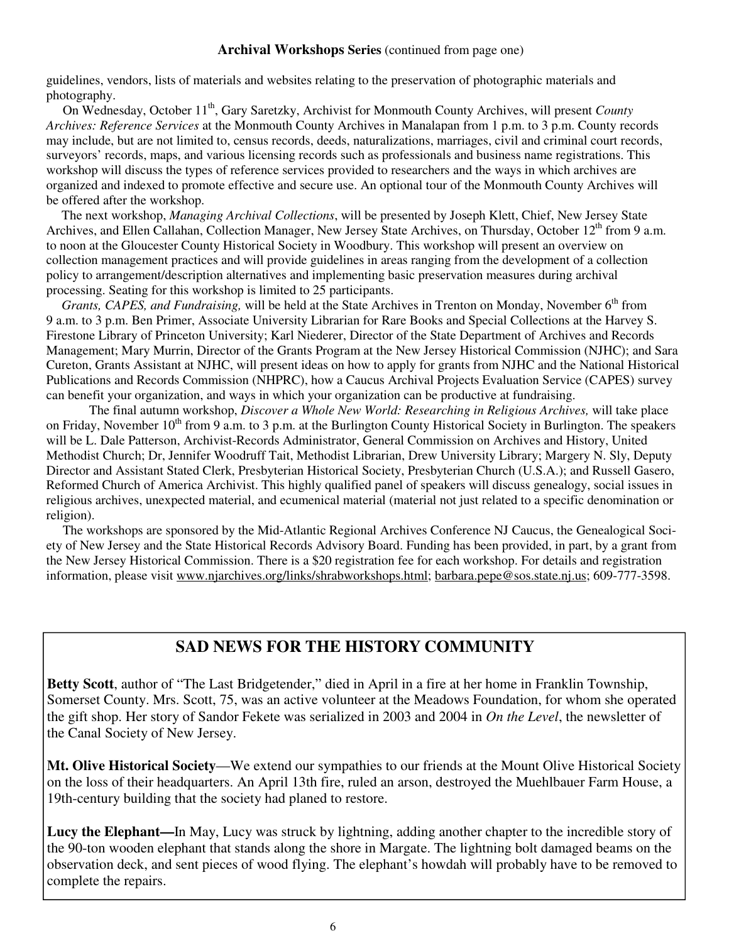#### **Archival Workshops Series** (continued from page one)

guidelines, vendors, lists of materials and websites relating to the preservation of photographic materials and photography.

 On Wednesday, October 11th, Gary Saretzky, Archivist for Monmouth County Archives, will present *County Archives: Reference Services* at the Monmouth County Archives in Manalapan from 1 p.m. to 3 p.m. County records may include, but are not limited to, census records, deeds, naturalizations, marriages, civil and criminal court records, surveyors' records, maps, and various licensing records such as professionals and business name registrations. This workshop will discuss the types of reference services provided to researchers and the ways in which archives are organized and indexed to promote effective and secure use. An optional tour of the Monmouth County Archives will be offered after the workshop.

The next workshop, *Managing Archival Collections*, will be presented by Joseph Klett, Chief, New Jersey State Archives, and Ellen Callahan, Collection Manager, New Jersey State Archives, on Thursday, October 12<sup>th</sup> from 9 a.m. to noon at the Gloucester County Historical Society in Woodbury. This workshop will present an overview on collection management practices and will provide guidelines in areas ranging from the development of a collection policy to arrangement/description alternatives and implementing basic preservation measures during archival processing. Seating for this workshop is limited to 25 participants.

*Grants, CAPES, and Fundraising,* will be held at the State Archives in Trenton on Monday, November 6<sup>th</sup> from 9 a.m. to 3 p.m. Ben Primer, Associate University Librarian for Rare Books and Special Collections at the Harvey S. Firestone Library of Princeton University; Karl Niederer, Director of the State Department of Archives and Records Management; Mary Murrin, Director of the Grants Program at the New Jersey Historical Commission (NJHC); and Sara Cureton, Grants Assistant at NJHC, will present ideas on how to apply for grants from NJHC and the National Historical Publications and Records Commission (NHPRC), how a Caucus Archival Projects Evaluation Service (CAPES) survey can benefit your organization, and ways in which your organization can be productive at fundraising.

The final autumn workshop, *Discover a Whole New World: Researching in Religious Archives,* will take place on Friday, November  $10^{th}$  from 9 a.m. to 3 p.m. at the Burlington County Historical Society in Burlington. The speakers will be L. Dale Patterson, Archivist-Records Administrator, General Commission on Archives and History, United Methodist Church; Dr, Jennifer Woodruff Tait, Methodist Librarian, Drew University Library; Margery N. Sly, Deputy Director and Assistant Stated Clerk, Presbyterian Historical Society, Presbyterian Church (U.S.A.); and Russell Gasero, Reformed Church of America Archivist. This highly qualified panel of speakers will discuss genealogy, social issues in religious archives, unexpected material, and ecumenical material (material not just related to a specific denomination or religion).

 The workshops are sponsored by the Mid-Atlantic Regional Archives Conference NJ Caucus, the Genealogical Society of New Jersey and the State Historical Records Advisory Board. Funding has been provided, in part, by a grant from the New Jersey Historical Commission. There is a \$20 registration fee for each workshop. For details and registration information, please visit www.njarchives.org/links/shrabworkshops.html; barbara.pepe@sos.state.nj.us; 609-777-3598.

#### **SAD NEWS FOR THE HISTORY COMMUNITY**

**Betty Scott**, author of "The Last Bridgetender," died in April in a fire at her home in Franklin Township, Somerset County. Mrs. Scott, 75, was an active volunteer at the Meadows Foundation, for whom she operated the gift shop. Her story of Sandor Fekete was serialized in 2003 and 2004 in *On the Level*, the newsletter of the Canal Society of New Jersey.

**Mt. Olive Historical Society**—We extend our sympathies to our friends at the Mount Olive Historical Society on the loss of their headquarters. An April 13th fire, ruled an arson, destroyed the Muehlbauer Farm House, a 19th-century building that the society had planed to restore.

**Lucy the Elephant—**In May, Lucy was struck by lightning, adding another chapter to the incredible story of the 90-ton wooden elephant that stands along the shore in Margate. The lightning bolt damaged beams on the observation deck, and sent pieces of wood flying. The elephant's howdah will probably have to be removed to complete the repairs.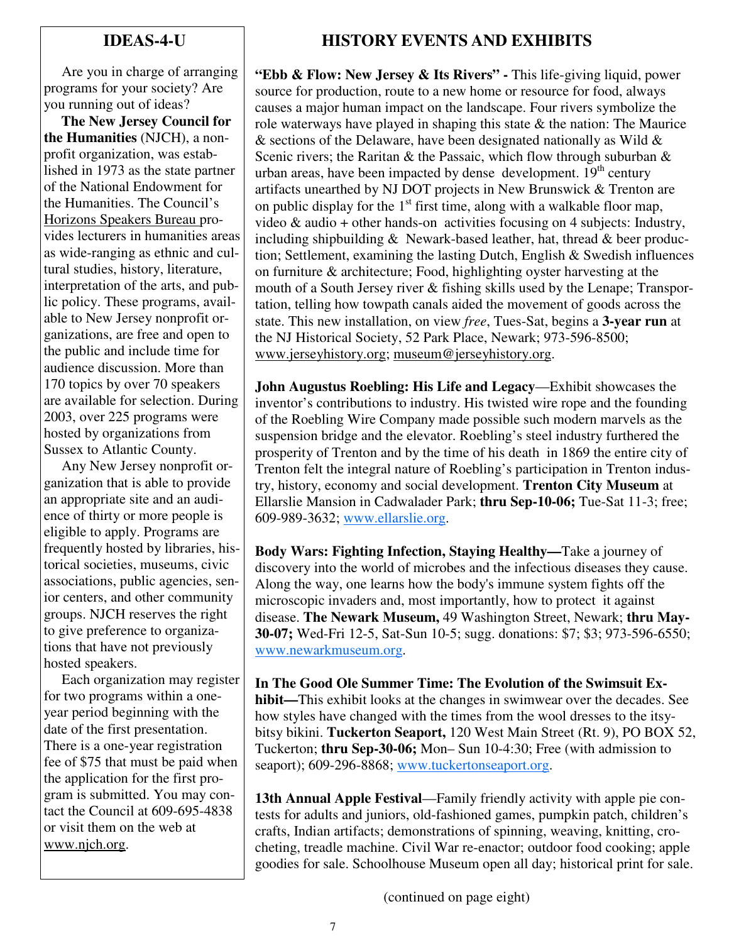#### **IDEAS-4-U**

 Are you in charge of arranging programs for your society? Are you running out of ideas?

 **The New Jersey Council for the Humanities** (NJCH), a nonprofit organization, was established in 1973 as the state partner of the National Endowment for the Humanities. The Council's Horizons Speakers Bureau provides lecturers in humanities areas as wide-ranging as ethnic and cultural studies, history, literature, interpretation of the arts, and public policy. These programs, available to New Jersey nonprofit organizations, are free and open to the public and include time for audience discussion. More than 170 topics by over 70 speakers are available for selection. During 2003, over 225 programs were hosted by organizations from Sussex to Atlantic County.

 Any New Jersey nonprofit organization that is able to provide an appropriate site and an audience of thirty or more people is eligible to apply. Programs are frequently hosted by libraries, historical societies, museums, civic associations, public agencies, senior centers, and other community groups. NJCH reserves the right to give preference to organizations that have not previously hosted speakers.

 Each organization may register for two programs within a oneyear period beginning with the date of the first presentation. There is a one-year registration fee of \$75 that must be paid when the application for the first program is submitted. You may contact the Council at 609-695-4838 or visit them on the web at www.njch.org.

# **HISTORY EVENTS AND EXHIBITS**

**"Ebb & Flow: New Jersey & Its Rivers" -** This life-giving liquid, power source for production, route to a new home or resource for food, always causes a major human impact on the landscape. Four rivers symbolize the role waterways have played in shaping this state  $\&$  the nation: The Maurice  $\&$  sections of the Delaware, have been designated nationally as Wild  $\&$ Scenic rivers; the Raritan & the Passaic, which flow through suburban  $\&$ urban areas, have been impacted by dense development.  $19<sup>th</sup>$  century artifacts unearthed by NJ DOT projects in New Brunswick & Trenton are on public display for the  $1<sup>st</sup>$  first time, along with a walkable floor map, video & audio + other hands-on activities focusing on 4 subjects: Industry, including shipbuilding  $&$  Newark-based leather, hat, thread  $&$  beer production; Settlement, examining the lasting Dutch, English & Swedish influences on furniture & architecture; Food, highlighting oyster harvesting at the mouth of a South Jersey river & fishing skills used by the Lenape; Transportation, telling how towpath canals aided the movement of goods across the state. This new installation, on view *free*, Tues-Sat, begins a **3-year run** at the NJ Historical Society, 52 Park Place, Newark; 973-596-8500; www.jerseyhistory.org; museum@jerseyhistory.org.

**John Augustus Roebling: His Life and Legacy**—Exhibit showcases the inventor's contributions to industry. His twisted wire rope and the founding of the Roebling Wire Company made possible such modern marvels as the suspension bridge and the elevator. Roebling's steel industry furthered the prosperity of Trenton and by the time of his death in 1869 the entire city of Trenton felt the integral nature of Roebling's participation in Trenton industry, history, economy and social development. **Trenton City Museum** at Ellarslie Mansion in Cadwalader Park; **thru Sep-10-06;** Tue-Sat 11-3; free; 609-989-3632; www.ellarslie.org.

**Body Wars: Fighting Infection, Staying Healthy—**Take a journey of discovery into the world of microbes and the infectious diseases they cause. Along the way, one learns how the body's immune system fights off the microscopic invaders and, most importantly, how to protect it against disease. **The Newark Museum,** 49 Washington Street, Newark; **thru May-30-07;** Wed-Fri 12-5, Sat-Sun 10-5; sugg. donations: \$7; \$3; 973-596-6550; www.newarkmuseum.org.

**In The Good Ole Summer Time: The Evolution of the Swimsuit Exhibit—**This exhibit looks at the changes in swimwear over the decades. See how styles have changed with the times from the wool dresses to the itsybitsy bikini. **Tuckerton Seaport,** 120 West Main Street (Rt. 9), PO BOX 52, Tuckerton; **thru Sep-30-06;** Mon– Sun 10-4:30; Free (with admission to seaport); 609-296-8868; www.tuckertonseaport.org.

**13th Annual Apple Festival**—Family friendly activity with apple pie contests for adults and juniors, old-fashioned games, pumpkin patch, children's crafts, Indian artifacts; demonstrations of spinning, weaving, knitting, crocheting, treadle machine. Civil War re-enactor; outdoor food cooking; apple goodies for sale. Schoolhouse Museum open all day; historical print for sale.

(continued on page eight)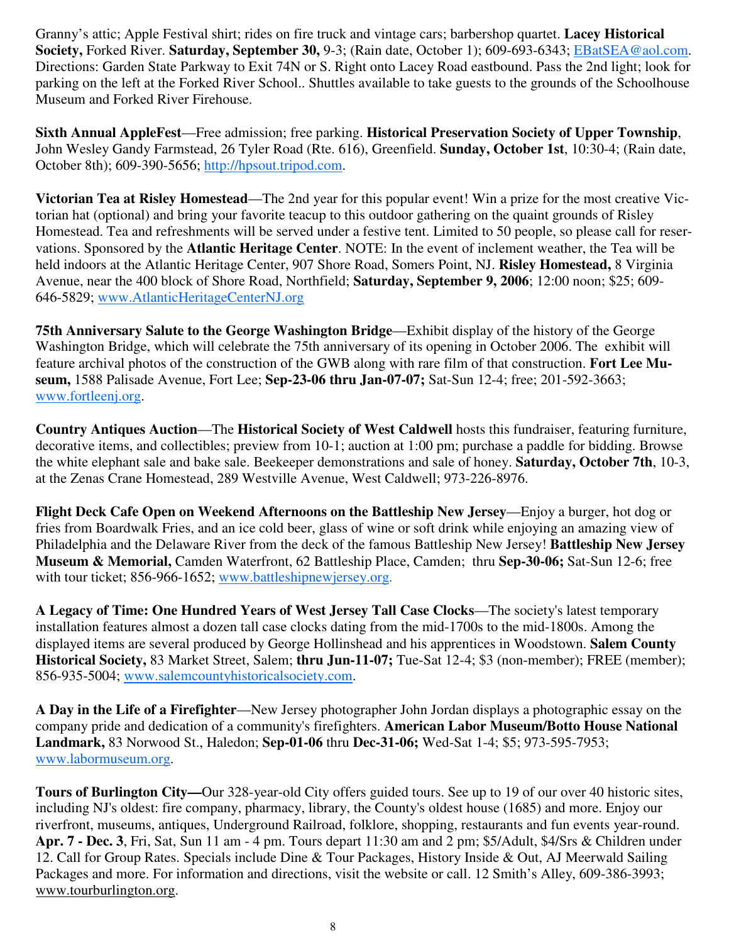Granny's attic; Apple Festival shirt; rides on fire truck and vintage cars; barbershop quartet. **Lacey Historical Society,** Forked River. **Saturday, September 30,** 9-3; (Rain date, October 1); 609-693-6343; EBatSEA@aol.com. Directions: Garden State Parkway to Exit 74N or S. Right onto Lacey Road eastbound. Pass the 2nd light; look for parking on the left at the Forked River School.. Shuttles available to take guests to the grounds of the Schoolhouse Museum and Forked River Firehouse.

**Sixth Annual AppleFest**—Free admission; free parking. **Historical Preservation Society of Upper Township**, John Wesley Gandy Farmstead, 26 Tyler Road (Rte. 616), Greenfield. **Sunday, October 1st**, 10:30-4; (Rain date, October 8th); 609-390-5656; http://hpsout.tripod.com.

**Victorian Tea at Risley Homestead**—The 2nd year for this popular event! Win a prize for the most creative Victorian hat (optional) and bring your favorite teacup to this outdoor gathering on the quaint grounds of Risley Homestead. Tea and refreshments will be served under a festive tent. Limited to 50 people, so please call for reservations. Sponsored by the **Atlantic Heritage Center**. NOTE: In the event of inclement weather, the Tea will be held indoors at the Atlantic Heritage Center, 907 Shore Road, Somers Point, NJ. **Risley Homestead,** 8 Virginia Avenue, near the 400 block of Shore Road, Northfield; **Saturday, September 9, 2006**; 12:00 noon; \$25; 609- 646-5829; www.AtlanticHeritageCenterNJ.org

**75th Anniversary Salute to the George Washington Bridge**—Exhibit display of the history of the George Washington Bridge, which will celebrate the 75th anniversary of its opening in October 2006. The exhibit will feature archival photos of the construction of the GWB along with rare film of that construction. **Fort Lee Museum,** 1588 Palisade Avenue, Fort Lee; **Sep-23-06 thru Jan-07-07;** Sat-Sun 12-4; free; 201-592-3663; www.fortleenj.org.

**Country Antiques Auction**—The **Historical Society of West Caldwell** hosts this fundraiser, featuring furniture, decorative items, and collectibles; preview from 10-1; auction at 1:00 pm; purchase a paddle for bidding. Browse the white elephant sale and bake sale. Beekeeper demonstrations and sale of honey. **Saturday, October 7th**, 10-3, at the Zenas Crane Homestead, 289 Westville Avenue, West Caldwell; 973-226-8976.

**Flight Deck Cafe Open on Weekend Afternoons on the Battleship New Jersey**—Enjoy a burger, hot dog or fries from Boardwalk Fries, and an ice cold beer, glass of wine or soft drink while enjoying an amazing view of Philadelphia and the Delaware River from the deck of the famous Battleship New Jersey! **Battleship New Jersey Museum & Memorial,** Camden Waterfront, 62 Battleship Place, Camden; thru **Sep-30-06;** Sat-Sun 12-6; free with tour ticket; 856-966-1652; www.battleshipnewjersey.org.

**A Legacy of Time: One Hundred Years of West Jersey Tall Case Clocks**—The society's latest temporary installation features almost a dozen tall case clocks dating from the mid-1700s to the mid-1800s. Among the displayed items are several produced by George Hollinshead and his apprentices in Woodstown. **Salem County Historical Society,** 83 Market Street, Salem; **thru Jun-11-07;** Tue-Sat 12-4; \$3 (non-member); FREE (member); 856-935-5004; www.salemcountyhistoricalsociety.com.

**A Day in the Life of a Firefighter**—New Jersey photographer John Jordan displays a photographic essay on the company pride and dedication of a community's firefighters. **American Labor Museum/Botto House National Landmark,** 83 Norwood St., Haledon; **Sep-01-06** thru **Dec-31-06;** Wed-Sat 1-4; \$5; 973-595-7953; www.labormuseum.org.

**Tours of Burlington City—**Our 328-year-old City offers guided tours. See up to 19 of our over 40 historic sites, including NJ's oldest: fire company, pharmacy, library, the County's oldest house (1685) and more. Enjoy our riverfront, museums, antiques, Underground Railroad, folklore, shopping, restaurants and fun events year-round. **Apr. 7 - Dec. 3**, Fri, Sat, Sun 11 am - 4 pm. Tours depart 11:30 am and 2 pm; \$5/Adult, \$4/Srs & Children under 12. Call for Group Rates. Specials include Dine & Tour Packages, History Inside & Out, AJ Meerwald Sailing Packages and more. For information and directions, visit the website or call. 12 Smith's Alley, 609-386-3993; www.tourburlington.org.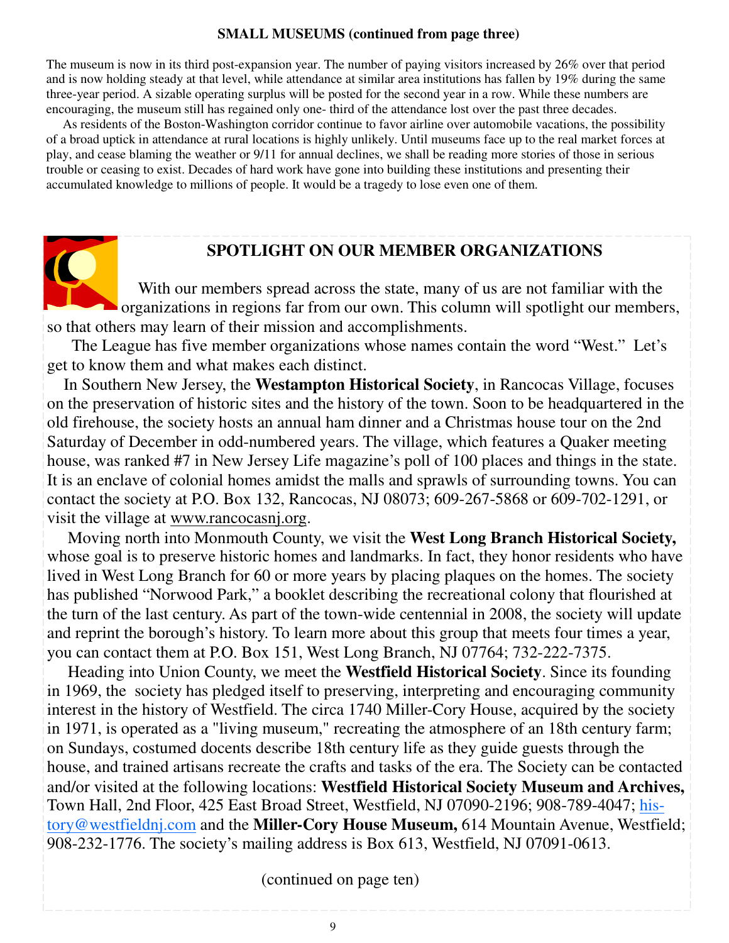#### **SMALL MUSEUMS (continued from page three)**

The museum is now in its third post-expansion year. The number of paying visitors increased by 26% over that period and is now holding steady at that level, while attendance at similar area institutions has fallen by 19% during the same three-year period. A sizable operating surplus will be posted for the second year in a row. While these numbers are encouraging, the museum still has regained only one- third of the attendance lost over the past three decades.

 As residents of the Boston-Washington corridor continue to favor airline over automobile vacations, the possibility of a broad uptick in attendance at rural locations is highly unlikely. Until museums face up to the real market forces at play, and cease blaming the weather or 9/11 for annual declines, we shall be reading more stories of those in serious trouble or ceasing to exist. Decades of hard work have gone into building these institutions and presenting their accumulated knowledge to millions of people. It would be a tragedy to lose even one of them.

#### **SPOTLIGHT ON OUR MEMBER ORGANIZATIONS**

C With our members spread across the state, many of us are not familiar with the organizations in regions far from our own. This column will spotlight our members, so that others may learn of their mission and accomplishments.

 The League has five member organizations whose names contain the word "West." Let's get to know them and what makes each distinct.

 In Southern New Jersey, the **Westampton Historical Society**, in Rancocas Village, focuses on the preservation of historic sites and the history of the town. Soon to be headquartered in the old firehouse, the society hosts an annual ham dinner and a Christmas house tour on the 2nd Saturday of December in odd-numbered years. The village, which features a Quaker meeting house, was ranked #7 in New Jersey Life magazine's poll of 100 places and things in the state. It is an enclave of colonial homes amidst the malls and sprawls of surrounding towns. You can contact the society at P.O. Box 132, Rancocas, NJ 08073; 609-267-5868 or 609-702-1291, or visit the village at www.rancocasnj.org.

Moving north into Monmouth County, we visit the **West Long Branch Historical Society,**  whose goal is to preserve historic homes and landmarks. In fact, they honor residents who have lived in West Long Branch for 60 or more years by placing plaques on the homes. The society has published "Norwood Park," a booklet describing the recreational colony that flourished at the turn of the last century. As part of the town-wide centennial in 2008, the society will update and reprint the borough's history. To learn more about this group that meets four times a year, you can contact them at P.O. Box 151, West Long Branch, NJ 07764; 732-222-7375.

 Heading into Union County, we meet the **Westfield Historical Society**. Since its founding in 1969, the society has pledged itself to preserving, interpreting and encouraging community interest in the history of Westfield. The circa 1740 Miller-Cory House, acquired by the society in 1971, is operated as a "living museum," recreating the atmosphere of an 18th century farm; on Sundays, costumed docents describe 18th century life as they guide guests through the house, and trained artisans recreate the crafts and tasks of the era. The Society can be contacted and/or visited at the following locations: **Westfield Historical Society Museum and Archives,**  Town Hall, 2nd Floor, 425 East Broad Street, Westfield, NJ 07090-2196; 908-789-4047; history@westfieldnj.com and the **Miller-Cory House Museum,** 614 Mountain Avenue, Westfield; 908-232-1776. The society's mailing address is Box 613, Westfield, NJ 07091-0613.

(continued on page ten)

9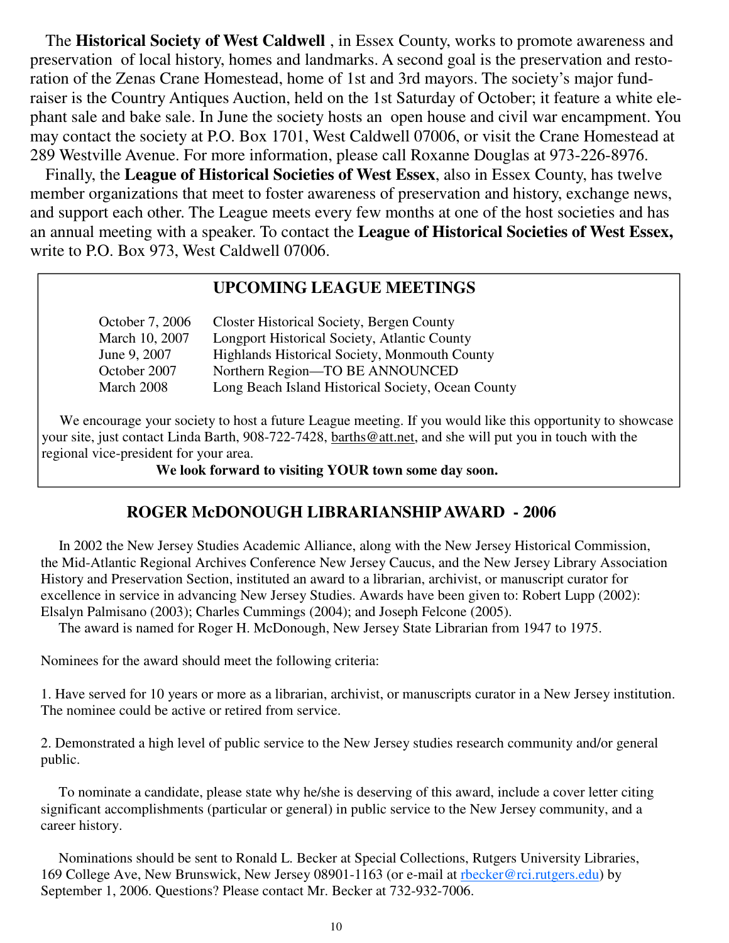The **Historical Society of West Caldwell** , in Essex County, works to promote awareness and preservation of local history, homes and landmarks. A second goal is the preservation and restoration of the Zenas Crane Homestead, home of 1st and 3rd mayors. The society's major fundraiser is the Country Antiques Auction, held on the 1st Saturday of October; it feature a white elephant sale and bake sale. In June the society hosts an open house and civil war encampment. You may contact the society at P.O. Box 1701, West Caldwell 07006, or visit the Crane Homestead at 289 Westville Avenue. For more information, please call Roxanne Douglas at 973-226-8976.

 Finally, the **League of Historical Societies of West Essex**, also in Essex County, has twelve member organizations that meet to foster awareness of preservation and history, exchange news, and support each other. The League meets every few months at one of the host societies and has an annual meeting with a speaker. To contact the **League of Historical Societies of West Essex,**  write to P.O. Box 973, West Caldwell 07006.

#### **UPCOMING LEAGUE MEETINGS**

| October 7, 2006 | Closter Historical Society, Bergen County          |
|-----------------|----------------------------------------------------|
| March 10, 2007  | Longport Historical Society, Atlantic County       |
| June 9, 2007    | Highlands Historical Society, Monmouth County      |
| October 2007    | Northern Region-TO BE ANNOUNCED                    |
| March 2008      | Long Beach Island Historical Society, Ocean County |

We encourage your society to host a future League meeting. If you would like this opportunity to showcase your site, just contact Linda Barth, 908-722-7428, barths@att.net, and she will put you in touch with the regional vice-president for your area.

**We look forward to visiting YOUR town some day soon.** 

#### **ROGER McDONOUGH LIBRARIANSHIP AWARD - 2006**

 In 2002 the New Jersey Studies Academic Alliance, along with the New Jersey Historical Commission, the Mid-Atlantic Regional Archives Conference New Jersey Caucus, and the New Jersey Library Association History and Preservation Section, instituted an award to a librarian, archivist, or manuscript curator for excellence in service in advancing New Jersey Studies. Awards have been given to: Robert Lupp (2002): Elsalyn Palmisano (2003); Charles Cummings (2004); and Joseph Felcone (2005).

The award is named for Roger H. McDonough, New Jersey State Librarian from 1947 to 1975.

Nominees for the award should meet the following criteria:

1. Have served for 10 years or more as a librarian, archivist, or manuscripts curator in a New Jersey institution. The nominee could be active or retired from service.

2. Demonstrated a high level of public service to the New Jersey studies research community and/or general public.

 To nominate a candidate, please state why he/she is deserving of this award, include a cover letter citing significant accomplishments (particular or general) in public service to the New Jersey community, and a career history.

 Nominations should be sent to Ronald L. Becker at Special Collections, Rutgers University Libraries, 169 College Ave, New Brunswick, New Jersey 08901-1163 (or e-mail at rbecker@rci.rutgers.edu) by September 1, 2006. Questions? Please contact Mr. Becker at 732-932-7006.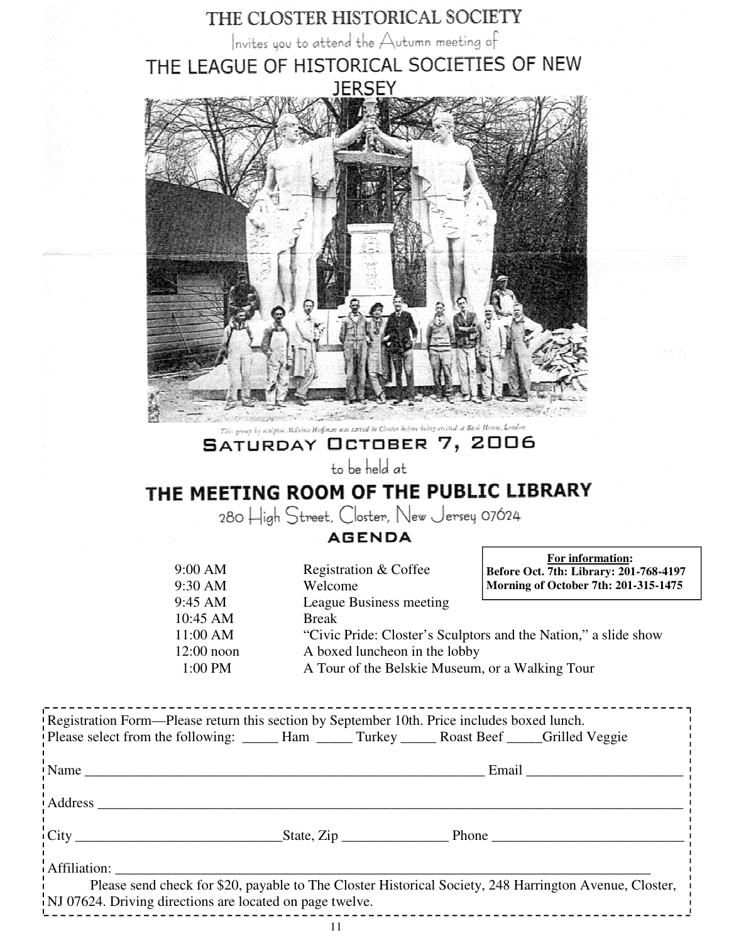

# SATURDAY OCTOBER 7, 2006 to be held at

# THE MEETING ROOM OF THE PUBLIC LIBRARY

280 High Street, Closter, New Jersey 07624

#### **AGENDA**

| 9:00 AM<br>9:30 AM | Registration & Coffee<br>Welcome                                | гүн ширгшануш.<br>Before Oct. 7th: Library: 201-768-4197<br>Morning of October 7th: 201-315-1475 |
|--------------------|-----------------------------------------------------------------|--------------------------------------------------------------------------------------------------|
| 9:45 AM            | League Business meeting                                         |                                                                                                  |
| 10:45 AM           | <b>Break</b>                                                    |                                                                                                  |
| 11:00 AM           | "Civic Pride: Closter's Sculptors and the Nation," a slide show |                                                                                                  |
| $12:00$ noon       | A boxed luncheon in the lobby                                   |                                                                                                  |
| 1:00 PM            | A Tour of the Belskie Museum, or a Walking Tour                 |                                                                                                  |

 **For information:** 

Registration Form—Please return this section by September 10th. Price includes boxed lunch. Please select from the following: \_\_\_\_\_ Ham \_\_\_\_\_ Turkey \_\_\_\_\_ Roast Beef \_\_\_\_Grilled Veggie Name \_\_\_\_\_\_\_\_\_\_\_\_\_\_\_\_\_\_\_\_\_\_\_\_\_\_\_\_\_\_\_\_\_\_\_\_\_\_\_\_\_\_\_\_\_\_\_\_\_\_\_\_\_\_\_\_ Email \_\_\_\_\_\_\_\_\_\_\_\_\_\_\_\_\_\_\_\_\_\_ Address \_\_\_\_\_\_\_\_\_\_\_\_\_\_\_\_\_\_\_\_\_\_\_\_\_\_\_\_\_\_\_\_\_\_\_\_\_\_\_\_\_\_\_\_\_\_\_\_\_\_\_\_\_\_\_\_\_\_\_\_\_\_\_\_\_\_\_\_\_\_\_\_\_\_\_\_\_\_\_\_\_\_  $City$   $_{\_}$ Affiliation: Please send check for \$20, payable to The Closter Historical Society, 248 Harrington Avenue, Closter, NJ 07624. Driving directions are located on page twelve.